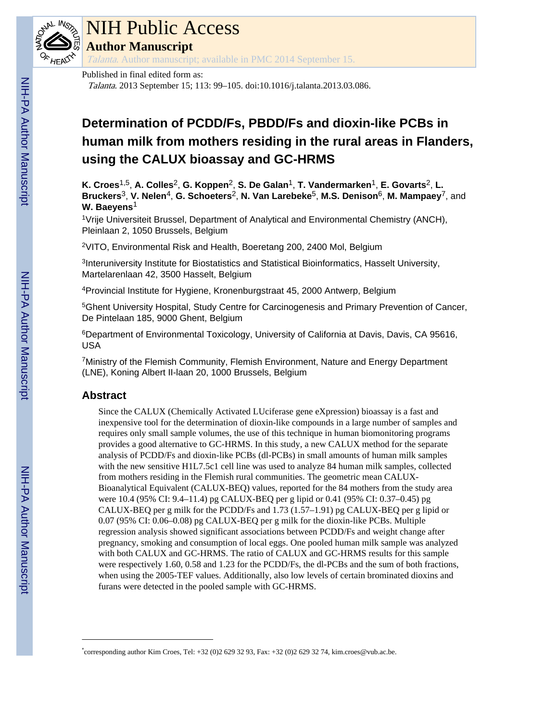

## NIH Public Access

**Author Manuscript**

Talanta. Author manuscript; available in PMC 2014 September 15.

Published in final edited form as:

Talanta. 2013 September 15; 113: 99–105. doi:10.1016/j.talanta.2013.03.086.

### **Determination of PCDD/Fs, PBDD/Fs and dioxin-like PCBs in human milk from mothers residing in the rural areas in Flanders, using the CALUX bioassay and GC-HRMS**

**K. Croes**1,5, **A. Colles**2, **G. Koppen**2, **S. De Galan**1, **T. Vandermarken**1, **E. Govarts**2, **L. Bruckers**3, **V. Nelen**4, **G. Schoeters**2, **N. Van Larebeke**5, **M.S. Denison**6, **M. Mampaey**7, and **W. Baeyens**<sup>1</sup>

<sup>1</sup>Vrije Universiteit Brussel, Department of Analytical and Environmental Chemistry (ANCH), Pleinlaan 2, 1050 Brussels, Belgium

<sup>2</sup>VITO, Environmental Risk and Health, Boeretang 200, 2400 Mol, Belgium

<sup>3</sup>Interuniversity Institute for Biostatistics and Statistical Bioinformatics, Hasselt University, Martelarenlaan 42, 3500 Hasselt, Belgium

<sup>4</sup>Provincial Institute for Hygiene, Kronenburgstraat 45, 2000 Antwerp, Belgium

<sup>5</sup>Ghent University Hospital, Study Centre for Carcinogenesis and Primary Prevention of Cancer, De Pintelaan 185, 9000 Ghent, Belgium

<sup>6</sup>Department of Environmental Toxicology, University of California at Davis, Davis, CA 95616, USA

<sup>7</sup>Ministry of the Flemish Community, Flemish Environment, Nature and Energy Department (LNE), Koning Albert II-laan 20, 1000 Brussels, Belgium

#### **Abstract**

Since the CALUX (Chemically Activated LUciferase gene eXpression) bioassay is a fast and inexpensive tool for the determination of dioxin-like compounds in a large number of samples and requires only small sample volumes, the use of this technique in human biomonitoring programs provides a good alternative to GC-HRMS. In this study, a new CALUX method for the separate analysis of PCDD/Fs and dioxin-like PCBs (dl-PCBs) in small amounts of human milk samples with the new sensitive H1L7.5c1 cell line was used to analyze 84 human milk samples, collected from mothers residing in the Flemish rural communities. The geometric mean CALUX-Bioanalytical Equivalent (CALUX-BEQ) values, reported for the 84 mothers from the study area were 10.4 (95% CI: 9.4–11.4) pg CALUX-BEQ per g lipid or 0.41 (95% CI: 0.37–0.45) pg CALUX-BEQ per g milk for the PCDD/Fs and 1.73 (1.57–1.91) pg CALUX-BEQ per g lipid or 0.07 (95% CI: 0.06–0.08) pg CALUX-BEQ per g milk for the dioxin-like PCBs. Multiple regression analysis showed significant associations between PCDD/Fs and weight change after pregnancy, smoking and consumption of local eggs. One pooled human milk sample was analyzed with both CALUX and GC-HRMS. The ratio of CALUX and GC-HRMS results for this sample were respectively 1.60, 0.58 and 1.23 for the PCDD/Fs, the dl-PCBs and the sum of both fractions, when using the 2005-TEF values. Additionally, also low levels of certain brominated dioxins and furans were detected in the pooled sample with GC-HRMS.

<sup>\*</sup> corresponding author Kim Croes, Tel: +32 (0)2 629 32 93, Fax: +32 (0)2 629 32 74, kim.croes@vub.ac.be.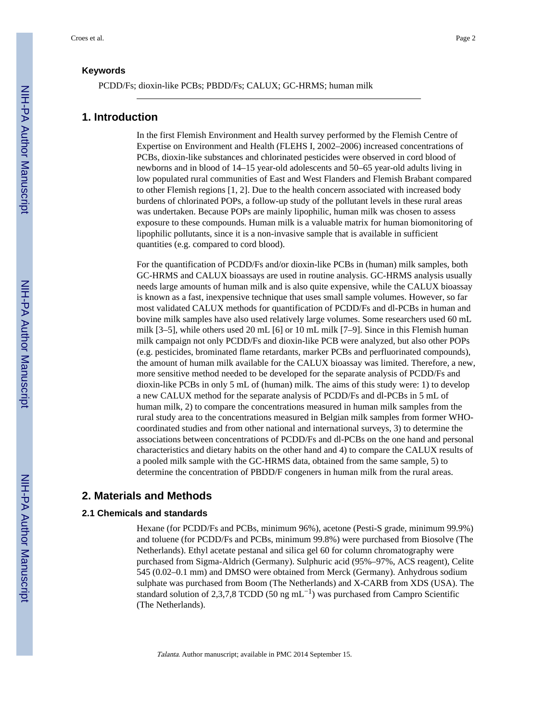PCDD/Fs; dioxin-like PCBs; PBDD/Fs; CALUX; GC-HRMS; human milk

#### **1. Introduction**

In the first Flemish Environment and Health survey performed by the Flemish Centre of Expertise on Environment and Health (FLEHS I, 2002–2006) increased concentrations of PCBs, dioxin-like substances and chlorinated pesticides were observed in cord blood of newborns and in blood of 14–15 year-old adolescents and 50–65 year-old adults living in low populated rural communities of East and West Flanders and Flemish Brabant compared to other Flemish regions [1, 2]. Due to the health concern associated with increased body burdens of chlorinated POPs, a follow-up study of the pollutant levels in these rural areas was undertaken. Because POPs are mainly lipophilic, human milk was chosen to assess exposure to these compounds. Human milk is a valuable matrix for human biomonitoring of lipophilic pollutants, since it is a non-invasive sample that is available in sufficient quantities (e.g. compared to cord blood).

For the quantification of PCDD/Fs and/or dioxin-like PCBs in (human) milk samples, both GC-HRMS and CALUX bioassays are used in routine analysis. GC-HRMS analysis usually needs large amounts of human milk and is also quite expensive, while the CALUX bioassay is known as a fast, inexpensive technique that uses small sample volumes. However, so far most validated CALUX methods for quantification of PCDD/Fs and dl-PCBs in human and bovine milk samples have also used relatively large volumes. Some researchers used 60 mL milk [3–5], while others used 20 mL [6] or 10 mL milk [7–9]. Since in this Flemish human milk campaign not only PCDD/Fs and dioxin-like PCB were analyzed, but also other POPs (e.g. pesticides, brominated flame retardants, marker PCBs and perfluorinated compounds), the amount of human milk available for the CALUX bioassay was limited. Therefore, a new, more sensitive method needed to be developed for the separate analysis of PCDD/Fs and dioxin-like PCBs in only 5 mL of (human) milk. The aims of this study were: 1) to develop a new CALUX method for the separate analysis of PCDD/Fs and dl-PCBs in 5 mL of human milk, 2) to compare the concentrations measured in human milk samples from the rural study area to the concentrations measured in Belgian milk samples from former WHOcoordinated studies and from other national and international surveys, 3) to determine the associations between concentrations of PCDD/Fs and dl-PCBs on the one hand and personal characteristics and dietary habits on the other hand and 4) to compare the CALUX results of a pooled milk sample with the GC-HRMS data, obtained from the same sample, 5) to determine the concentration of PBDD/F congeners in human milk from the rural areas.

#### **2. Materials and Methods**

#### **2.1 Chemicals and standards**

Hexane (for PCDD/Fs and PCBs, minimum 96%), acetone (Pesti-S grade, minimum 99.9%) and toluene (for PCDD/Fs and PCBs, minimum 99.8%) were purchased from Biosolve (The Netherlands). Ethyl acetate pestanal and silica gel 60 for column chromatography were purchased from Sigma-Aldrich (Germany). Sulphuric acid (95%–97%, ACS reagent), Celite 545 (0.02–0.1 mm) and DMSO were obtained from Merck (Germany). Anhydrous sodium sulphate was purchased from Boom (The Netherlands) and X-CARB from XDS (USA). The standard solution of 2,3,7,8 TCDD (50 ng mL<sup>-1</sup>) was purchased from Campro Scientific (The Netherlands).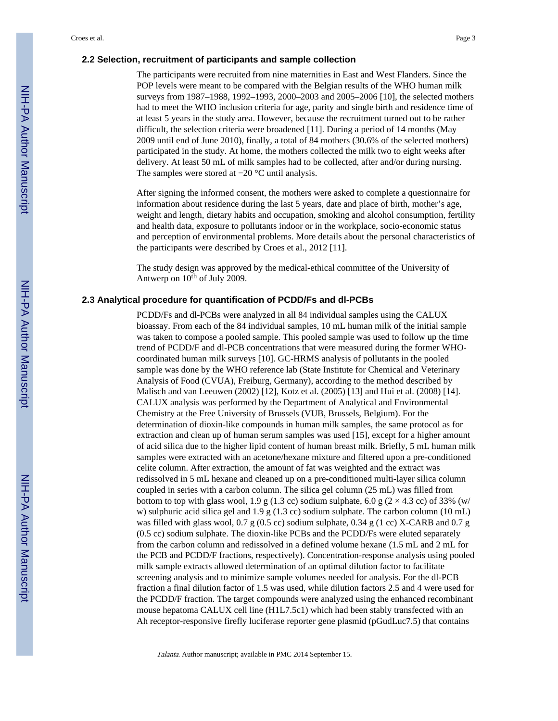#### **2.2 Selection, recruitment of participants and sample collection**

The participants were recruited from nine maternities in East and West Flanders. Since the POP levels were meant to be compared with the Belgian results of the WHO human milk surveys from 1987–1988, 1992–1993, 2000–2003 and 2005–2006 [10], the selected mothers had to meet the WHO inclusion criteria for age, parity and single birth and residence time of at least 5 years in the study area. However, because the recruitment turned out to be rather difficult, the selection criteria were broadened [11]. During a period of 14 months (May 2009 until end of June 2010), finally, a total of 84 mothers (30.6% of the selected mothers) participated in the study. At home, the mothers collected the milk two to eight weeks after delivery. At least 50 mL of milk samples had to be collected, after and/or during nursing. The samples were stored at −20 °C until analysis.

After signing the informed consent, the mothers were asked to complete a questionnaire for information about residence during the last 5 years, date and place of birth, mother's age, weight and length, dietary habits and occupation, smoking and alcohol consumption, fertility and health data, exposure to pollutants indoor or in the workplace, socio-economic status and perception of environmental problems. More details about the personal characteristics of the participants were described by Croes et al., 2012 [11].

The study design was approved by the medical-ethical committee of the University of Antwerp on  $10^{th}$  of July 2009.

#### **2.3 Analytical procedure for quantification of PCDD/Fs and dl-PCBs**

PCDD/Fs and dl-PCBs were analyzed in all 84 individual samples using the CALUX bioassay. From each of the 84 individual samples, 10 mL human milk of the initial sample was taken to compose a pooled sample. This pooled sample was used to follow up the time trend of PCDD/F and dl-PCB concentrations that were measured during the former WHOcoordinated human milk surveys [10]. GC-HRMS analysis of pollutants in the pooled sample was done by the WHO reference lab (State Institute for Chemical and Veterinary Analysis of Food (CVUA), Freiburg, Germany), according to the method described by Malisch and van Leeuwen (2002) [12], Kotz et al. (2005) [13] and Hui et al. (2008) [14]. CALUX analysis was performed by the Department of Analytical and Environmental Chemistry at the Free University of Brussels (VUB, Brussels, Belgium). For the determination of dioxin-like compounds in human milk samples, the same protocol as for extraction and clean up of human serum samples was used [15], except for a higher amount of acid silica due to the higher lipid content of human breast milk. Briefly, 5 mL human milk samples were extracted with an acetone/hexane mixture and filtered upon a pre-conditioned celite column. After extraction, the amount of fat was weighted and the extract was redissolved in 5 mL hexane and cleaned up on a pre-conditioned multi-layer silica column coupled in series with a carbon column. The silica gel column (25 mL) was filled from bottom to top with glass wool, 1.9 g (1.3 cc) sodium sulphate, 6.0 g ( $2 \times 4.3$  cc) of 33% (w/ w) sulphuric acid silica gel and  $1.9 \text{ g } (1.3 \text{ cc})$  sodium sulphate. The carbon column (10 mL) was filled with glass wool, 0.7 g (0.5 cc) sodium sulphate, 0.34 g (1 cc) X-CARB and 0.7 g (0.5 cc) sodium sulphate. The dioxin-like PCBs and the PCDD/Fs were eluted separately from the carbon column and redissolved in a defined volume hexane (1.5 mL and 2 mL for the PCB and PCDD/F fractions, respectively). Concentration-response analysis using pooled milk sample extracts allowed determination of an optimal dilution factor to facilitate screening analysis and to minimize sample volumes needed for analysis. For the dl-PCB fraction a final dilution factor of 1.5 was used, while dilution factors 2.5 and 4 were used for the PCDD/F fraction. The target compounds were analyzed using the enhanced recombinant mouse hepatoma CALUX cell line (H1L7.5c1) which had been stably transfected with an Ah receptor-responsive firefly luciferase reporter gene plasmid (pGudLuc7.5) that contains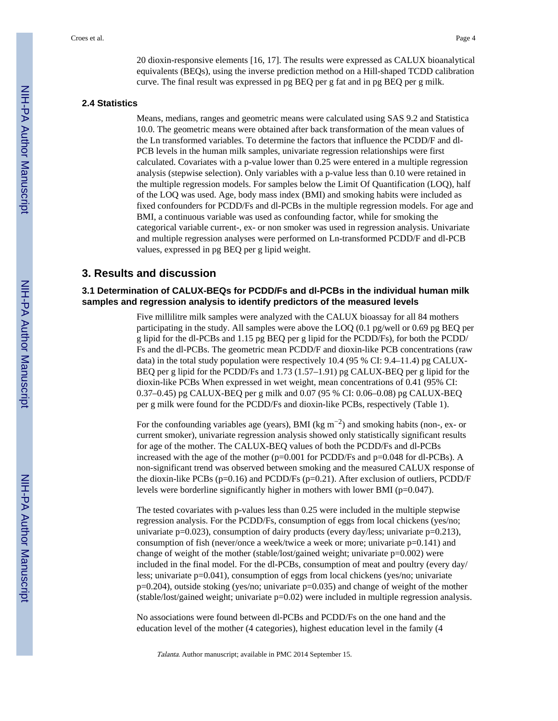20 dioxin-responsive elements [16, 17]. The results were expressed as CALUX bioanalytical equivalents (BEQs), using the inverse prediction method on a Hill-shaped TCDD calibration curve. The final result was expressed in pg BEQ per g fat and in pg BEQ per g milk.

#### **2.4 Statistics**

Means, medians, ranges and geometric means were calculated using SAS 9.2 and Statistica 10.0. The geometric means were obtained after back transformation of the mean values of the Ln transformed variables. To determine the factors that influence the PCDD/F and dl-PCB levels in the human milk samples, univariate regression relationships were first calculated. Covariates with a p-value lower than 0.25 were entered in a multiple regression analysis (stepwise selection). Only variables with a p-value less than 0.10 were retained in the multiple regression models. For samples below the Limit Of Quantification (LOQ), half of the LOQ was used. Age, body mass index (BMI) and smoking habits were included as fixed confounders for PCDD/Fs and dl-PCBs in the multiple regression models. For age and BMI, a continuous variable was used as confounding factor, while for smoking the categorical variable current-, ex- or non smoker was used in regression analysis. Univariate and multiple regression analyses were performed on Ln-transformed PCDD/F and dl-PCB values, expressed in pg BEQ per g lipid weight.

#### **3. Results and discussion**

#### **3.1 Determination of CALUX-BEQs for PCDD/Fs and dl-PCBs in the individual human milk samples and regression analysis to identify predictors of the measured levels**

Five millilitre milk samples were analyzed with the CALUX bioassay for all 84 mothers participating in the study. All samples were above the LOQ (0.1 pg/well or 0.69 pg BEQ per g lipid for the dl-PCBs and 1.15 pg BEQ per g lipid for the PCDD/Fs), for both the PCDD/ Fs and the dl-PCBs. The geometric mean PCDD/F and dioxin-like PCB concentrations (raw data) in the total study population were respectively 10.4 (95 % CI: 9.4–11.4) pg CALUX-BEQ per g lipid for the PCDD/Fs and 1.73 (1.57–1.91) pg CALUX-BEQ per g lipid for the dioxin-like PCBs When expressed in wet weight, mean concentrations of 0.41 (95% CI: 0.37–0.45) pg CALUX-BEQ per g milk and 0.07 (95 % CI: 0.06–0.08) pg CALUX-BEQ per g milk were found for the PCDD/Fs and dioxin-like PCBs, respectively (Table 1).

For the confounding variables age (years), BMI (kg  $m^{-2}$ ) and smoking habits (non-, ex- or current smoker), univariate regression analysis showed only statistically significant results for age of the mother. The CALUX-BEQ values of both the PCDD/Fs and dl-PCBs increased with the age of the mother ( $p=0.001$  for PCDD/Fs and  $p=0.048$  for dl-PCBs). A non-significant trend was observed between smoking and the measured CALUX response of the dioxin-like PCBs (p=0.16) and PCDD/Fs (p=0.21). After exclusion of outliers, PCDD/F levels were borderline significantly higher in mothers with lower BMI (p=0.047).

The tested covariates with p-values less than 0.25 were included in the multiple stepwise regression analysis. For the PCDD/Fs, consumption of eggs from local chickens (yes/no; univariate p=0.023), consumption of dairy products (every day/less; univariate p=0.213), consumption of fish (never/once a week/twice a week or more; univariate p=0.141) and change of weight of the mother (stable/lost/gained weight; univariate p=0.002) were included in the final model. For the dl-PCBs, consumption of meat and poultry (every day/ less; univariate p=0.041), consumption of eggs from local chickens (yes/no; univariate p=0.204), outside stoking (yes/no; univariate p=0.035) and change of weight of the mother  $(\text{stable}/\text{lost}/\text{gained weight};$  univariate  $p=0.02$ ) were included in multiple regression analysis.

No associations were found between dl-PCBs and PCDD/Fs on the one hand and the education level of the mother (4 categories), highest education level in the family (4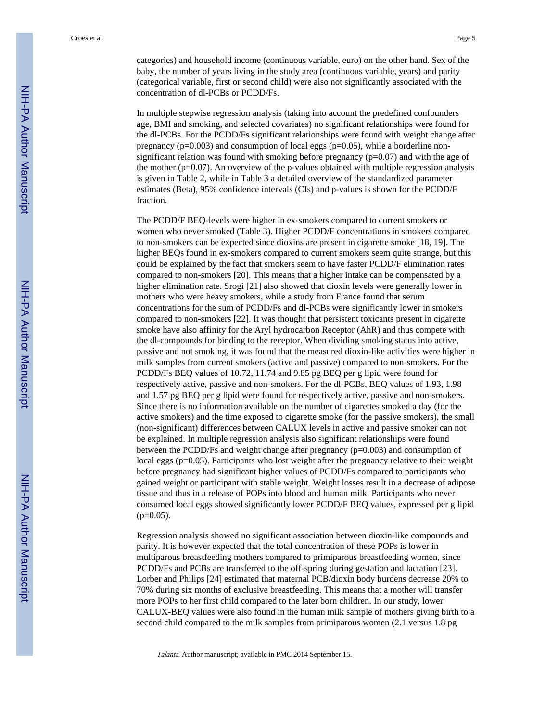categories) and household income (continuous variable, euro) on the other hand. Sex of the baby, the number of years living in the study area (continuous variable, years) and parity (categorical variable, first or second child) were also not significantly associated with the concentration of dl-PCBs or PCDD/Fs.

In multiple stepwise regression analysis (taking into account the predefined confounders age, BMI and smoking, and selected covariates) no significant relationships were found for the dl-PCBs. For the PCDD/Fs significant relationships were found with weight change after pregnancy ( $p=0.003$ ) and consumption of local eggs ( $p=0.05$ ), while a borderline nonsignificant relation was found with smoking before pregnancy  $(p=0.07)$  and with the age of the mother ( $p=0.07$ ). An overview of the p-values obtained with multiple regression analysis is given in Table 2, while in Table 3 a detailed overview of the standardized parameter estimates (Beta), 95% confidence intervals (CIs) and p-values is shown for the PCDD/F fraction.

The PCDD/F BEQ-levels were higher in ex-smokers compared to current smokers or women who never smoked (Table 3). Higher PCDD/F concentrations in smokers compared to non-smokers can be expected since dioxins are present in cigarette smoke [18, 19]. The higher BEQs found in ex-smokers compared to current smokers seem quite strange, but this could be explained by the fact that smokers seem to have faster PCDD/F elimination rates compared to non-smokers [20]. This means that a higher intake can be compensated by a higher elimination rate. Srogi [21] also showed that dioxin levels were generally lower in mothers who were heavy smokers, while a study from France found that serum concentrations for the sum of PCDD/Fs and dl-PCBs were significantly lower in smokers compared to non-smokers [22]. It was thought that persistent toxicants present in cigarette smoke have also affinity for the Aryl hydrocarbon Receptor (AhR) and thus compete with the dl-compounds for binding to the receptor. When dividing smoking status into active, passive and not smoking, it was found that the measured dioxin-like activities were higher in milk samples from current smokers (active and passive) compared to non-smokers. For the PCDD/Fs BEQ values of 10.72, 11.74 and 9.85 pg BEQ per g lipid were found for respectively active, passive and non-smokers. For the dl-PCBs, BEQ values of 1.93, 1.98 and 1.57 pg BEQ per g lipid were found for respectively active, passive and non-smokers. Since there is no information available on the number of cigarettes smoked a day (for the active smokers) and the time exposed to cigarette smoke (for the passive smokers), the small (non-significant) differences between CALUX levels in active and passive smoker can not be explained. In multiple regression analysis also significant relationships were found between the PCDD/Fs and weight change after pregnancy (p=0.003) and consumption of local eggs (p=0.05). Participants who lost weight after the pregnancy relative to their weight before pregnancy had significant higher values of PCDD/Fs compared to participants who gained weight or participant with stable weight. Weight losses result in a decrease of adipose tissue and thus in a release of POPs into blood and human milk. Participants who never consumed local eggs showed significantly lower PCDD/F BEQ values, expressed per g lipid  $(p=0.05)$ .

Regression analysis showed no significant association between dioxin-like compounds and parity. It is however expected that the total concentration of these POPs is lower in multiparous breastfeeding mothers compared to primiparous breastfeeding women, since PCDD/Fs and PCBs are transferred to the off-spring during gestation and lactation [23]. Lorber and Philips [24] estimated that maternal PCB/dioxin body burdens decrease 20% to 70% during six months of exclusive breastfeeding. This means that a mother will transfer more POPs to her first child compared to the later born children. In our study, lower CALUX-BEQ values were also found in the human milk sample of mothers giving birth to a second child compared to the milk samples from primiparous women (2.1 versus 1.8 pg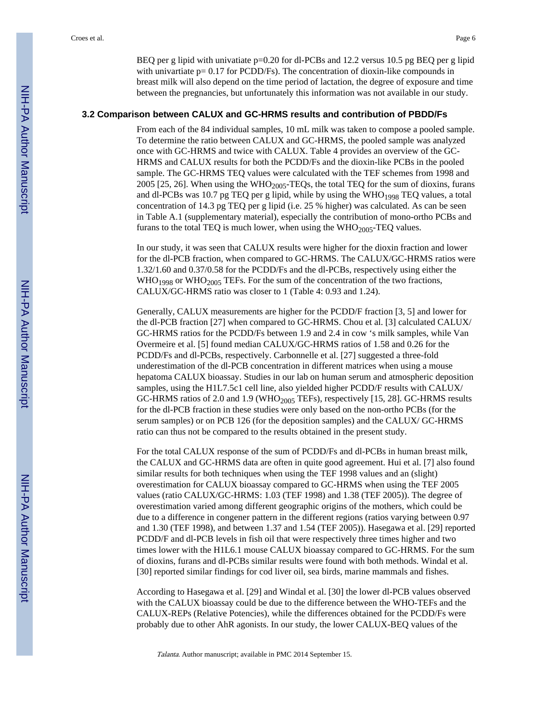BEQ per g lipid with univatiate p=0.20 for dl-PCBs and 12.2 versus 10.5 pg BEQ per g lipid with univartiate  $p = 0.17$  for PCDD/Fs). The concentration of dioxin-like compounds in breast milk will also depend on the time period of lactation, the degree of exposure and time between the pregnancies, but unfortunately this information was not available in our study.

#### **3.2 Comparison between CALUX and GC-HRMS results and contribution of PBDD/Fs**

From each of the 84 individual samples, 10 mL milk was taken to compose a pooled sample. To determine the ratio between CALUX and GC-HRMS, the pooled sample was analyzed once with GC-HRMS and twice with CALUX. Table 4 provides an overview of the GC-HRMS and CALUX results for both the PCDD/Fs and the dioxin-like PCBs in the pooled sample. The GC-HRMS TEQ values were calculated with the TEF schemes from 1998 and 2005 [25, 26]. When using the WHO<sub>2005</sub>-TEQs, the total TEQ for the sum of dioxins, furans and dl-PCBs was 10.7 pg TEQ per g lipid, while by using the WHO<sub>1998</sub> TEQ values, a total concentration of 14.3 pg TEQ per g lipid (i.e. 25 % higher) was calculated. As can be seen in Table A.1 (supplementary material), especially the contribution of mono-ortho PCBs and furans to the total TEQ is much lower, when using the  $WHO_{2005}$ -TEQ values.

In our study, it was seen that CALUX results were higher for the dioxin fraction and lower for the dl-PCB fraction, when compared to GC-HRMS. The CALUX/GC-HRMS ratios were 1.32/1.60 and 0.37/0.58 for the PCDD/Fs and the dl-PCBs, respectively using either the  $WHO_{1998}$  or  $WHO_{2005}$  TEFs. For the sum of the concentration of the two fractions, CALUX/GC-HRMS ratio was closer to 1 (Table 4: 0.93 and 1.24).

Generally, CALUX measurements are higher for the PCDD/F fraction [3, 5] and lower for the dl-PCB fraction [27] when compared to GC-HRMS. Chou et al. [3] calculated CALUX/ GC-HRMS ratios for the PCDD/Fs between 1.9 and 2.4 in cow 's milk samples, while Van Overmeire et al. [5] found median CALUX/GC-HRMS ratios of 1.58 and 0.26 for the PCDD/Fs and dl-PCBs, respectively. Carbonnelle et al. [27] suggested a three-fold underestimation of the dl-PCB concentration in different matrices when using a mouse hepatoma CALUX bioassay. Studies in our lab on human serum and atmospheric deposition samples, using the H1L7.5c1 cell line, also yielded higher PCDD/F results with CALUX/ GC-HRMS ratios of 2.0 and 1.9 (WHO<sub>2005</sub> TEFs), respectively [15, 28]. GC-HRMS results for the dl-PCB fraction in these studies were only based on the non-ortho PCBs (for the serum samples) or on PCB 126 (for the deposition samples) and the CALUX/ GC-HRMS ratio can thus not be compared to the results obtained in the present study.

For the total CALUX response of the sum of PCDD/Fs and dl-PCBs in human breast milk, the CALUX and GC-HRMS data are often in quite good agreement. Hui et al. [7] also found similar results for both techniques when using the TEF 1998 values and an (slight) overestimation for CALUX bioassay compared to GC-HRMS when using the TEF 2005 values (ratio CALUX/GC-HRMS: 1.03 (TEF 1998) and 1.38 (TEF 2005)). The degree of overestimation varied among different geographic origins of the mothers, which could be due to a difference in congener pattern in the different regions (ratios varying between 0.97 and 1.30 (TEF 1998), and between 1.37 and 1.54 (TEF 2005)). Hasegawa et al. [29] reported PCDD/F and dl-PCB levels in fish oil that were respectively three times higher and two times lower with the H1L6.1 mouse CALUX bioassay compared to GC-HRMS. For the sum of dioxins, furans and dl-PCBs similar results were found with both methods. Windal et al. [30] reported similar findings for cod liver oil, sea birds, marine mammals and fishes.

According to Hasegawa et al. [29] and Windal et al. [30] the lower dl-PCB values observed with the CALUX bioassay could be due to the difference between the WHO-TEFs and the CALUX-REPs (Relative Potencies), while the differences obtained for the PCDD/Fs were probably due to other AhR agonists. In our study, the lower CALUX-BEQ values of the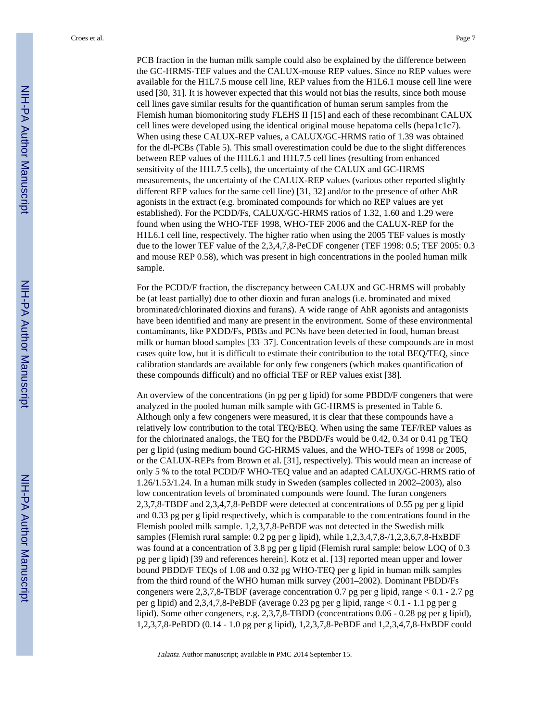PCB fraction in the human milk sample could also be explained by the difference between the GC-HRMS-TEF values and the CALUX-mouse REP values. Since no REP values were available for the H1L7.5 mouse cell line, REP values from the H1L6.1 mouse cell line were used [30, 31]. It is however expected that this would not bias the results, since both mouse cell lines gave similar results for the quantification of human serum samples from the Flemish human biomonitoring study FLEHS II [15] and each of these recombinant CALUX cell lines were developed using the identical original mouse hepatoma cells (hepa1c1c7). When using these CALUX-REP values, a CALUX/GC-HRMS ratio of 1.39 was obtained for the dl-PCBs (Table 5). This small overestimation could be due to the slight differences between REP values of the H1L6.1 and H1L7.5 cell lines (resulting from enhanced sensitivity of the H1L7.5 cells), the uncertainty of the CALUX and GC-HRMS measurements, the uncertainty of the CALUX-REP values (various other reported slightly different REP values for the same cell line) [31, 32] and/or to the presence of other AhR agonists in the extract (e.g. brominated compounds for which no REP values are yet established). For the PCDD/Fs, CALUX/GC-HRMS ratios of 1.32, 1.60 and 1.29 were found when using the WHO-TEF 1998, WHO-TEF 2006 and the CALUX-REP for the H1L6.1 cell line, respectively. The higher ratio when using the 2005 TEF values is mostly due to the lower TEF value of the 2,3,4,7,8-PeCDF congener (TEF 1998: 0.5; TEF 2005: 0.3 and mouse REP 0.58), which was present in high concentrations in the pooled human milk sample.

For the PCDD/F fraction, the discrepancy between CALUX and GC-HRMS will probably be (at least partially) due to other dioxin and furan analogs (i.e. brominated and mixed brominated/chlorinated dioxins and furans). A wide range of AhR agonists and antagonists have been identified and many are present in the environment. Some of these environmental contaminants, like PXDD/Fs, PBBs and PCNs have been detected in food, human breast milk or human blood samples [33–37]. Concentration levels of these compounds are in most cases quite low, but it is difficult to estimate their contribution to the total BEQ/TEQ, since calibration standards are available for only few congeners (which makes quantification of these compounds difficult) and no official TEF or REP values exist [38].

An overview of the concentrations (in pg per g lipid) for some PBDD/F congeners that were analyzed in the pooled human milk sample with GC-HRMS is presented in Table 6. Although only a few congeners were measured, it is clear that these compounds have a relatively low contribution to the total TEQ/BEQ. When using the same TEF/REP values as for the chlorinated analogs, the TEQ for the PBDD/Fs would be 0.42, 0.34 or 0.41 pg TEQ per g lipid (using medium bound GC-HRMS values, and the WHO-TEFs of 1998 or 2005, or the CALUX-REPs from Brown et al. [31], respectively). This would mean an increase of only 5 % to the total PCDD/F WHO-TEQ value and an adapted CALUX/GC-HRMS ratio of 1.26/1.53/1.24. In a human milk study in Sweden (samples collected in 2002–2003), also low concentration levels of brominated compounds were found. The furan congeners 2,3,7,8-TBDF and 2,3,4,7,8-PeBDF were detected at concentrations of 0.55 pg per g lipid and 0.33 pg per g lipid respectively, which is comparable to the concentrations found in the Flemish pooled milk sample. 1,2,3,7,8-PeBDF was not detected in the Swedish milk samples (Flemish rural sample: 0.2 pg per g lipid), while 1,2,3,4,7,8-/1,2,3,6,7,8-HxBDF was found at a concentration of 3.8 pg per g lipid (Flemish rural sample: below LOQ of 0.3 pg per g lipid) [39 and references herein]. Kotz et al. [13] reported mean upper and lower bound PBDD/F TEQs of 1.08 and 0.32 pg WHO-TEQ per g lipid in human milk samples from the third round of the WHO human milk survey (2001–2002). Dominant PBDD/Fs congeners were 2,3,7,8-TBDF (average concentration 0.7 pg per g lipid, range  $< 0.1 - 2.7$  pg per g lipid) and 2,3,4,7,8-PeBDF (average 0.23 pg per g lipid, range < 0.1 - 1.1 pg per g lipid). Some other congeners, e.g. 2,3,7,8-TBDD (concentrations 0.06 - 0.28 pg per g lipid), 1,2,3,7,8-PeBDD (0.14 - 1.0 pg per g lipid), 1,2,3,7,8-PeBDF and 1,2,3,4,7,8-HxBDF could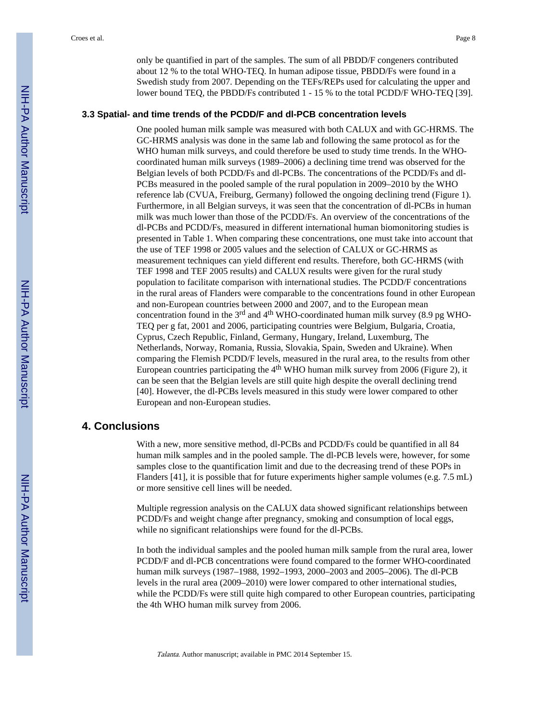only be quantified in part of the samples. The sum of all PBDD/F congeners contributed about 12 % to the total WHO-TEQ. In human adipose tissue, PBDD/Fs were found in a Swedish study from 2007. Depending on the TEFs/REPs used for calculating the upper and lower bound TEQ, the PBDD/Fs contributed 1 - 15 % to the total PCDD/F WHO-TEQ [39].

#### **3.3 Spatial- and time trends of the PCDD/F and dl-PCB concentration levels**

One pooled human milk sample was measured with both CALUX and with GC-HRMS. The GC-HRMS analysis was done in the same lab and following the same protocol as for the WHO human milk surveys, and could therefore be used to study time trends. In the WHOcoordinated human milk surveys (1989–2006) a declining time trend was observed for the Belgian levels of both PCDD/Fs and dl-PCBs. The concentrations of the PCDD/Fs and dl-PCBs measured in the pooled sample of the rural population in 2009–2010 by the WHO reference lab (CVUA, Freiburg, Germany) followed the ongoing declining trend (Figure 1). Furthermore, in all Belgian surveys, it was seen that the concentration of dl-PCBs in human milk was much lower than those of the PCDD/Fs. An overview of the concentrations of the dl-PCBs and PCDD/Fs, measured in different international human biomonitoring studies is presented in Table 1. When comparing these concentrations, one must take into account that the use of TEF 1998 or 2005 values and the selection of CALUX or GC-HRMS as measurement techniques can yield different end results. Therefore, both GC-HRMS (with TEF 1998 and TEF 2005 results) and CALUX results were given for the rural study population to facilitate comparison with international studies. The PCDD/F concentrations in the rural areas of Flanders were comparable to the concentrations found in other European and non-European countries between 2000 and 2007, and to the European mean concentration found in the  $3<sup>rd</sup>$  and  $4<sup>th</sup>$  WHO-coordinated human milk survey (8.9 pg WHO-TEQ per g fat, 2001 and 2006, participating countries were Belgium, Bulgaria, Croatia, Cyprus, Czech Republic, Finland, Germany, Hungary, Ireland, Luxemburg, The Netherlands, Norway, Romania, Russia, Slovakia, Spain, Sweden and Ukraine). When comparing the Flemish PCDD/F levels, measured in the rural area, to the results from other European countries participating the  $4<sup>th</sup>$  WHO human milk survey from 2006 (Figure 2), it can be seen that the Belgian levels are still quite high despite the overall declining trend [40]. However, the dl-PCBs levels measured in this study were lower compared to other European and non-European studies.

#### **4. Conclusions**

With a new, more sensitive method, dl-PCBs and PCDD/Fs could be quantified in all 84 human milk samples and in the pooled sample. The dl-PCB levels were, however, for some samples close to the quantification limit and due to the decreasing trend of these POPs in Flanders [41], it is possible that for future experiments higher sample volumes (e.g. 7.5 mL) or more sensitive cell lines will be needed.

Multiple regression analysis on the CALUX data showed significant relationships between PCDD/Fs and weight change after pregnancy, smoking and consumption of local eggs, while no significant relationships were found for the dl-PCBs.

In both the individual samples and the pooled human milk sample from the rural area, lower PCDD/F and dl-PCB concentrations were found compared to the former WHO-coordinated human milk surveys (1987–1988, 1992–1993, 2000–2003 and 2005–2006). The dl-PCB levels in the rural area (2009–2010) were lower compared to other international studies, while the PCDD/Fs were still quite high compared to other European countries, participating the 4th WHO human milk survey from 2006.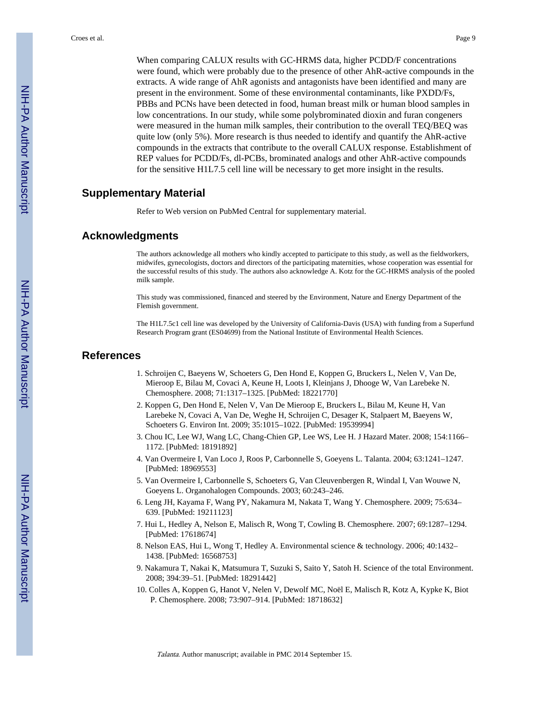When comparing CALUX results with GC-HRMS data, higher PCDD/F concentrations were found, which were probably due to the presence of other AhR-active compounds in the extracts. A wide range of AhR agonists and antagonists have been identified and many are present in the environment. Some of these environmental contaminants, like PXDD/Fs, PBBs and PCNs have been detected in food, human breast milk or human blood samples in low concentrations. In our study, while some polybrominated dioxin and furan congeners were measured in the human milk samples, their contribution to the overall TEQ/BEQ was quite low (only 5%). More research is thus needed to identify and quantify the AhR-active compounds in the extracts that contribute to the overall CALUX response. Establishment of REP values for PCDD/Fs, dl-PCBs, brominated analogs and other AhR-active compounds for the sensitive H1L7.5 cell line will be necessary to get more insight in the results.

#### **Supplementary Material**

Refer to Web version on PubMed Central for supplementary material.

#### **Acknowledgments**

The authors acknowledge all mothers who kindly accepted to participate to this study, as well as the fieldworkers, midwifes, gynecologists, doctors and directors of the participating maternities, whose cooperation was essential for the successful results of this study. The authors also acknowledge A. Kotz for the GC-HRMS analysis of the pooled milk sample.

This study was commissioned, financed and steered by the Environment, Nature and Energy Department of the Flemish government.

The H1L7.5c1 cell line was developed by the University of California-Davis (USA) with funding from a Superfund Research Program grant (ES04699) from the National Institute of Environmental Health Sciences.

#### **References**

- 1. Schroijen C, Baeyens W, Schoeters G, Den Hond E, Koppen G, Bruckers L, Nelen V, Van De, Mieroop E, Bilau M, Covaci A, Keune H, Loots I, Kleinjans J, Dhooge W, Van Larebeke N. Chemosphere. 2008; 71:1317–1325. [PubMed: 18221770]
- 2. Koppen G, Den Hond E, Nelen V, Van De Mieroop E, Bruckers L, Bilau M, Keune H, Van Larebeke N, Covaci A, Van De, Weghe H, Schroijen C, Desager K, Stalpaert M, Baeyens W, Schoeters G. Environ Int. 2009; 35:1015–1022. [PubMed: 19539994]
- 3. Chou IC, Lee WJ, Wang LC, Chang-Chien GP, Lee WS, Lee H. J Hazard Mater. 2008; 154:1166– 1172. [PubMed: 18191892]
- 4. Van Overmeire I, Van Loco J, Roos P, Carbonnelle S, Goeyens L. Talanta. 2004; 63:1241–1247. [PubMed: 18969553]
- 5. Van Overmeire I, Carbonnelle S, Schoeters G, Van Cleuvenbergen R, Windal I, Van Wouwe N, Goeyens L. Organohalogen Compounds. 2003; 60:243–246.
- 6. Leng JH, Kayama F, Wang PY, Nakamura M, Nakata T, Wang Y. Chemosphere. 2009; 75:634– 639. [PubMed: 19211123]
- 7. Hui L, Hedley A, Nelson E, Malisch R, Wong T, Cowling B. Chemosphere. 2007; 69:1287–1294. [PubMed: 17618674]
- 8. Nelson EAS, Hui L, Wong T, Hedley A. Environmental science & technology. 2006; 40:1432– 1438. [PubMed: 16568753]
- 9. Nakamura T, Nakai K, Matsumura T, Suzuki S, Saito Y, Satoh H. Science of the total Environment. 2008; 394:39–51. [PubMed: 18291442]
- 10. Colles A, Koppen G, Hanot V, Nelen V, Dewolf MC, Noël E, Malisch R, Kotz A, Kypke K, Biot P. Chemosphere. 2008; 73:907–914. [PubMed: 18718632]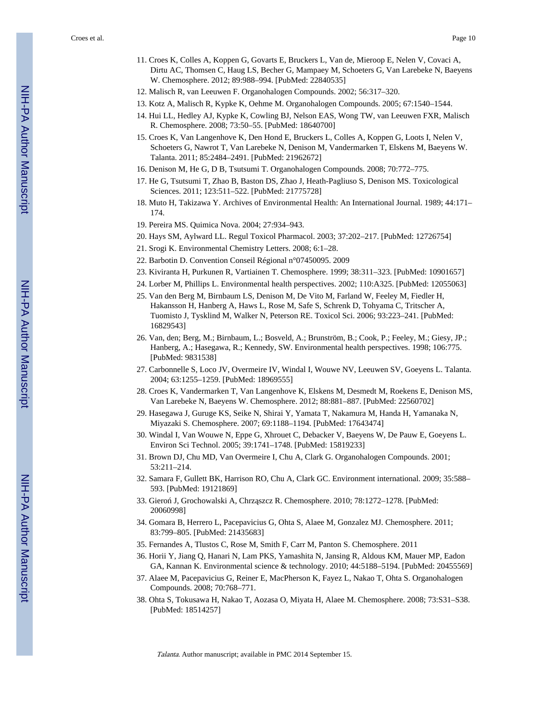Croes et al. Page 10

- 11. Croes K, Colles A, Koppen G, Govarts E, Bruckers L, Van de, Mieroop E, Nelen V, Covaci A, Dirtu AC, Thomsen C, Haug LS, Becher G, Mampaey M, Schoeters G, Van Larebeke N, Baeyens W. Chemosphere. 2012; 89:988–994. [PubMed: 22840535]
- 12. Malisch R, van Leeuwen F. Organohalogen Compounds. 2002; 56:317–320.
- 13. Kotz A, Malisch R, Kypke K, Oehme M. Organohalogen Compounds. 2005; 67:1540–1544.
- 14. Hui LL, Hedley AJ, Kypke K, Cowling BJ, Nelson EAS, Wong TW, van Leeuwen FXR, Malisch R. Chemosphere. 2008; 73:50–55. [PubMed: 18640700]
- 15. Croes K, Van Langenhove K, Den Hond E, Bruckers L, Colles A, Koppen G, Loots I, Nelen V, Schoeters G, Nawrot T, Van Larebeke N, Denison M, Vandermarken T, Elskens M, Baeyens W. Talanta. 2011; 85:2484–2491. [PubMed: 21962672]
- 16. Denison M, He G, D B, Tsutsumi T. Organohalogen Compounds. 2008; 70:772–775.
- 17. He G, Tsutsumi T, Zhao B, Baston DS, Zhao J, Heath-Pagliuso S, Denison MS. Toxicological Sciences. 2011; 123:511–522. [PubMed: 21775728]
- 18. Muto H, Takizawa Y. Archives of Environmental Health: An International Journal. 1989; 44:171– 174.
- 19. Pereira MS. Quimica Nova. 2004; 27:934–943.
- 20. Hays SM, Aylward LL. Regul Toxicol Pharmacol. 2003; 37:202–217. [PubMed: 12726754]
- 21. Srogi K. Environmental Chemistry Letters. 2008; 6:1–28.
- 22. Barbotin D. Convention Conseil Régional n°07450095. 2009
- 23. Kiviranta H, Purkunen R, Vartiainen T. Chemosphere. 1999; 38:311–323. [PubMed: 10901657]
- 24. Lorber M, Phillips L. Environmental health perspectives. 2002; 110:A325. [PubMed: 12055063]
- 25. Van den Berg M, Birnbaum LS, Denison M, De Vito M, Farland W, Feeley M, Fiedler H, Hakansson H, Hanberg A, Haws L, Rose M, Safe S, Schrenk D, Tohyama C, Tritscher A, Tuomisto J, Tysklind M, Walker N, Peterson RE. Toxicol Sci. 2006; 93:223–241. [PubMed: 16829543]
- 26. Van, den; Berg, M.; Birnbaum, L.; Bosveld, A.; Brunström, B.; Cook, P.; Feeley, M.; Giesy, JP.; Hanberg, A.; Hasegawa, R.; Kennedy, SW. Environmental health perspectives. 1998; 106:775. [PubMed: 9831538]
- 27. Carbonnelle S, Loco JV, Overmeire IV, Windal I, Wouwe NV, Leeuwen SV, Goeyens L. Talanta. 2004; 63:1255–1259. [PubMed: 18969555]
- 28. Croes K, Vandermarken T, Van Langenhove K, Elskens M, Desmedt M, Roekens E, Denison MS, Van Larebeke N, Baeyens W. Chemosphere. 2012; 88:881–887. [PubMed: 22560702]
- 29. Hasegawa J, Guruge KS, Seike N, Shirai Y, Yamata T, Nakamura M, Handa H, Yamanaka N, Miyazaki S. Chemosphere. 2007; 69:1188–1194. [PubMed: 17643474]
- 30. Windal I, Van Wouwe N, Eppe G, Xhrouet C, Debacker V, Baeyens W, De Pauw E, Goeyens L. Environ Sci Technol. 2005; 39:1741–1748. [PubMed: 15819233]
- 31. Brown DJ, Chu MD, Van Overmeire I, Chu A, Clark G. Organohalogen Compounds. 2001; 53:211–214.
- 32. Samara F, Gullett BK, Harrison RO, Chu A, Clark GC. Environment international. 2009; 35:588– 593. [PubMed: 19121869]
- 33. Giero J, Grochowalski A, Chrz szcz R. Chemosphere. 2010; 78:1272–1278. [PubMed: 20060998]
- 34. Gomara B, Herrero L, Pacepavicius G, Ohta S, Alaee M, Gonzalez MJ. Chemosphere. 2011; 83:799–805. [PubMed: 21435683]
- 35. Fernandes A, Tlustos C, Rose M, Smith F, Carr M, Panton S. Chemosphere. 2011
- 36. Horii Y, Jiang Q, Hanari N, Lam PKS, Yamashita N, Jansing R, Aldous KM, Mauer MP, Eadon GA, Kannan K. Environmental science & technology. 2010; 44:5188–5194. [PubMed: 20455569]
- 37. Alaee M, Pacepavicius G, Reiner E, MacPherson K, Fayez L, Nakao T, Ohta S. Organohalogen Compounds. 2008; 70:768–771.
- 38. Ohta S, Tokusawa H, Nakao T, Aozasa O, Miyata H, Alaee M. Chemosphere. 2008; 73:S31–S38. [PubMed: 18514257]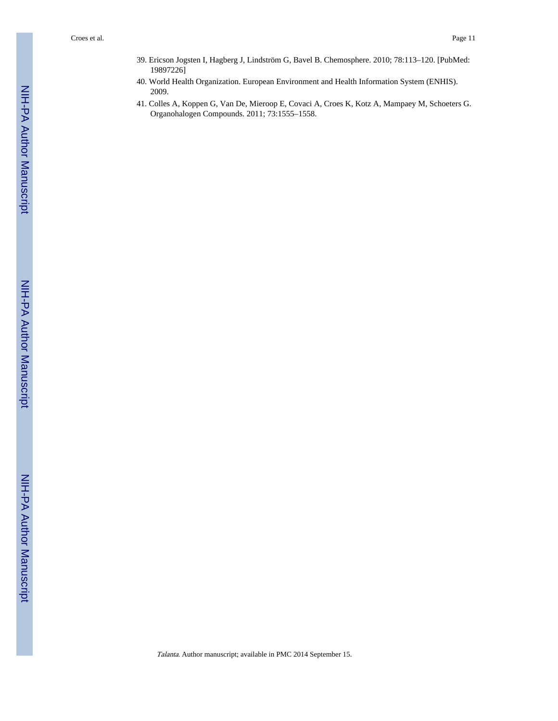- 39. Ericson Jogsten I, Hagberg J, Lindström G, Bavel B. Chemosphere. 2010; 78:113–120. [PubMed: 19897226]
- 40. World Health Organization. European Environment and Health Information System (ENHIS). 2009.
- 41. Colles A, Koppen G, Van De, Mieroop E, Covaci A, Croes K, Kotz A, Mampaey M, Schoeters G. Organohalogen Compounds. 2011; 73:1555–1558.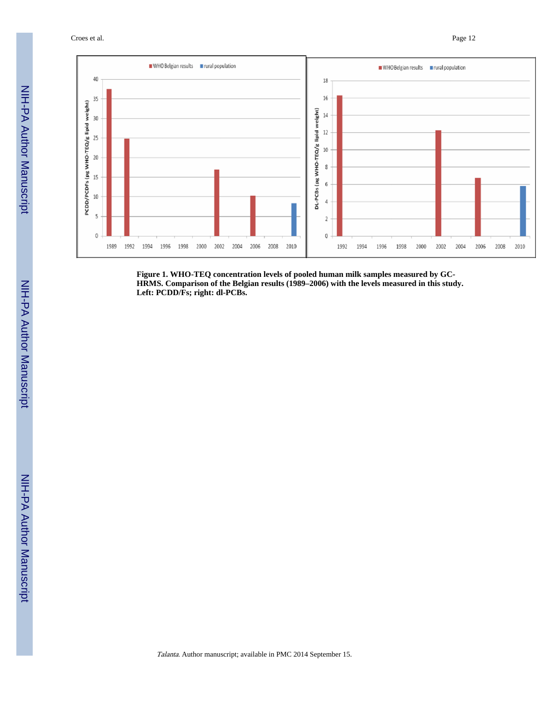Croes et al. Page 12



**Figure 1. WHO-TEQ concentration levels of pooled human milk samples measured by GC-HRMS. Comparison of the Belgian results (1989–2006) with the levels measured in this study. Left: PCDD/Fs; right: dl-PCBs.**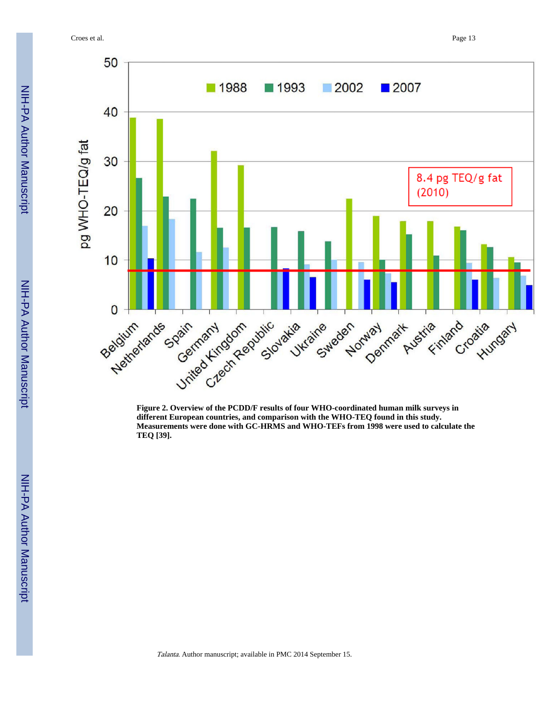Croes et al. Page 13



**Figure 2. Overview of the PCDD/F results of four WHO-coordinated human milk surveys in different European countries, and comparison with the WHO-TEQ found in this study. Measurements were done with GC-HRMS and WHO-TEFs from 1998 were used to calculate the TEQ [39].**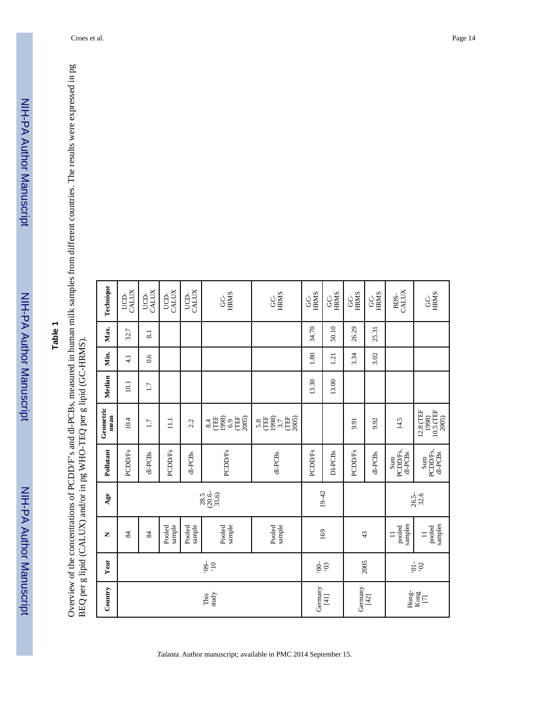NIH-PA Author Manuscript

NIH-PA Author Manuscript

Overview of the concentrations of PCDD/F's and dl-PCBs, measured in human milk samples from different countries. The results were expressed in pg<br>BEQ per g lipid (CALUX) and/or in pg WHO-TEQ per g lipid (GC-HRMS). Overview of the concentrations of PCDD/F's and dl-PCBs, measured in human milk samples from different countries. The results were expressed in pg BEQ per g lipid (CALUX) and/or in pg WHO-TEQ per g lipid (GC-HRMS).

| Country                | Year            | Z                             | Age                     | Pollutant                            | Geometric<br>mean                                    | Median | Min.             | Max.  | Technique               |
|------------------------|-----------------|-------------------------------|-------------------------|--------------------------------------|------------------------------------------------------|--------|------------------|-------|-------------------------|
|                        |                 | 84                            |                         | <b>PCDD/Fs</b>                       | 10.4                                                 | 10.1   | $\overline{4.1}$ | 32.7  | CALUX<br>UCD-           |
|                        |                 | 84                            |                         | dl-PCBs                              | 1.7                                                  | 1.7    | 0.6              | 8.1   | CALUX<br>UCD-           |
|                        |                 | sample<br>Pooled              |                         | <b>PCDD/Fs</b>                       | $\Xi$                                                |        |                  |       | CALUX<br>UCD-           |
|                        |                 | sample<br>Pooled              |                         | dl-PCBs                              | 2.2                                                  |        |                  |       | UCD-<br>CALUX           |
| study<br>This          | $-60,$<br>01    | sample<br>Pooled              | $(20.6 - 35.6)$<br>28.5 | <b>PCDD/Fs</b>                       | $rac{4}{\sqrt{10}}$<br>1998)<br>6.9<br>(TEF<br>2005) |        |                  |       | <b>HRMS</b><br><u>ქ</u> |
|                        |                 | Pooled<br>sample              |                         | dl-PCBs                              | 1998)<br>3.7<br>(TEF<br>$5.8$<br>(TEF<br>2005)       |        |                  |       | <b>HRMS</b><br>ე<br>თ   |
| Germany                | $-00$           |                               |                         | <b>PCDD/Fs</b>                       |                                                      | 13.30  | 1.80             | 34.70 | <b>HRMS</b><br>g        |
| [41]                   | 50,             | 169                           | $19 - 42$               | DI-PCBs                              |                                                      | 13.00  | 1.21             | 50.10 | <b>HRMS</b><br>ს<br>ს   |
| Germany                |                 | 43                            |                         | PCDD/Fs                              | 9.91                                                 |        | 3.34             | 26.29 | <b>HRMS</b><br>ს<br>ს   |
| $[42]$                 | 2005            |                               |                         | dl-PCBs                              | 9.92                                                 |        | 3.02             | 25.31 | <b>HRMS</b><br>ပ္ပ      |
| $Hong-$                |                 | samples<br>pooled<br>$\equiv$ |                         | PCDD/Fs,<br>dl-PCBs<br>Sum           | 14.5                                                 |        |                  |       | CALUX<br>BDS-           |
| $\frac{\rm Kong}{[7]}$ | $\frac{20}{10}$ | samples<br>pooled<br>$\equiv$ | $26.5 -$<br>$32.6$      | $\lim_{\text{PCDD/Fs}, }$<br>dl-PCBs | $10.5$ (TEF<br>$12.8$ (TEF $1998$<br>2005)           |        |                  |       | <b>HRMS</b><br>Ś        |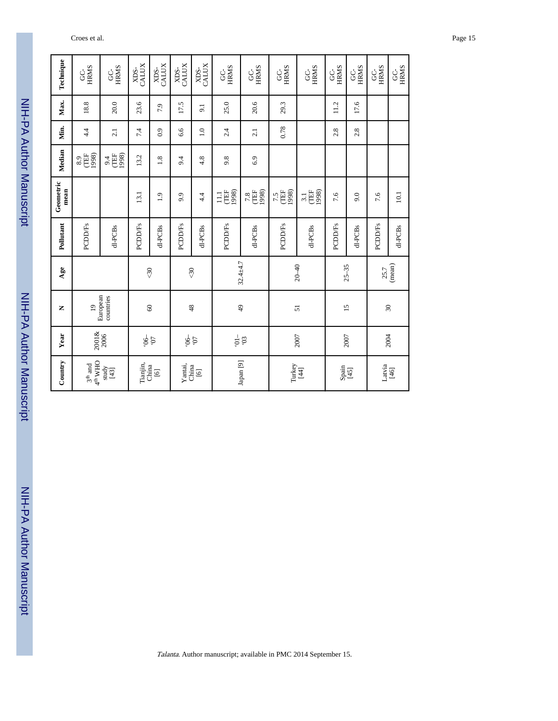| Technique         | <b>HRMS</b><br>g                  | <b>HRMS</b><br>Ś      | CALUX<br>XD <sub>S-</sub> | XDS-<br>CALUX        | XDS-<br>CALUX    | CALUX<br>XDS-    | <b>HRMS</b><br>ပ္ပ           | <b>HRMS</b><br>g     | <b>HRMS</b><br>ပ္ပ  | <b>HRMS</b><br>g           | <b>HRMS</b><br>Š | <b>HRMS</b><br>Ś           | <b>HRMS</b><br>g | GC-<br>HRMS |
|-------------------|-----------------------------------|-----------------------|---------------------------|----------------------|------------------|------------------|------------------------------|----------------------|---------------------|----------------------------|------------------|----------------------------|------------------|-------------|
| Max.              | 18.8                              | 20.0                  | 23.6                      | 7.9                  | 17.5             | $\overline{9}$   | 25.0                         | 20.6                 | 29.3                |                            | 11.2             | 17.6                       |                  |             |
| Min.              | 4.4                               | $\overline{2.1}$      | 7.4                       | 0.9                  | 6.6              | $\overline{1.0}$ | 2.4                          | 2.1                  | 0.78                |                            | 2.8              | 2.8                        |                  |             |
| Median            | 1998)<br><b>TEF</b><br>8.9        | (TEF<br>1998)<br>9.4  | 13.2                      | 1.8                  | 9.4              | 4.8              | 9.8                          | 6.9                  |                     |                            |                  |                            |                  |             |
| Geometric<br>mean |                                   |                       | 13.1                      | $\ddot{0}$           | 9.9              | 4.4              | 1998)<br><b>TEF</b><br>$\Xi$ | 7.8<br>UEF<br>1998)  | 7.5<br>TEF<br>1998) | <b>THE</b><br>1998)<br>3.1 | 7.6              | 9.0                        | 7.6              | 10.1        |
| Pollutant         | <b>PCDD/Fs</b>                    | dl-PCBs               | <b>PCDD/Fs</b>            | dl-PCBs              | <b>PCDD/Fs</b>   | dl-PCBs          | <b>PCDD/Fs</b>               | d1-PCBs              | <b>PCDD/Fs</b>      | dl-PCBs                    | <b>PCDD/Fs</b>   | dl-PCBs                    | <b>PCDD/Fs</b>   | dl-PCBs     |
| Age               |                                   |                       |                           | $\sqrt{30}$          |                  | $\Im$            |                              | $32.4 + 4.7$         | $20 - 40$           |                            |                  | $25 - 35$                  | 25.7             | (mean)      |
| Z                 | $\overline{19}$                   | European<br>countries |                           | $\circ$              |                  | 48               |                              | $\overline{49}$      |                     | 51                         | $\overline{15}$  |                            |                  | $30\,$      |
| Year              | 2001&<br>2006                     |                       |                           | $\frac{5}{9}$        |                  | $\frac{1}{9}$    | $\frac{1}{2}$                | $50^{\circ}$         | 2007                |                            | 2007             |                            |                  | 2004        |
| Country           | $3^{\rm th}$ and $4^{\rm th}$ WHO | $\frac{1}{2}$         | Tianjin,                  | China<br>$\boxed{6}$ | Yantai,<br>China | $[6]$            |                              | Japan <sup>[9]</sup> |                     | Turkey<br>[44]             |                  | $\frac{\text{Spin}}{[45]}$ | Latvia           | $[46]$      |

Talanta. Author manuscript; available in PMC 2014 September 15.

#### Croes et al. Page 15

NIH-PA Author Manuscript NIH-PA Author Manuscript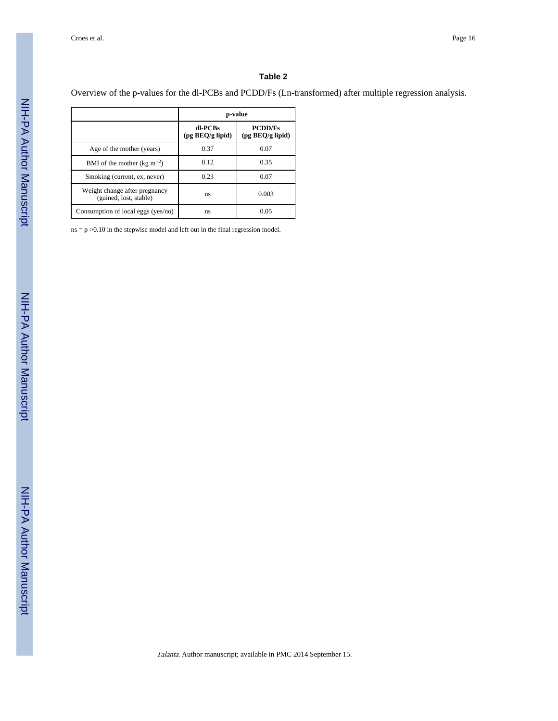Overview of the p-values for the dl-PCBs and PCDD/Fs (Ln-transformed) after multiple regression analysis.

|                                                         | p-value                     |                                            |
|---------------------------------------------------------|-----------------------------|--------------------------------------------|
|                                                         | dl-PCBs<br>(pg BEQ/g lipid) | <b>PCDD/Fs</b><br>$(pg \, BEQ/g \, lipid)$ |
| Age of the mother (years)                               | 0.37                        | 0.07                                       |
| BMI of the mother (kg $m^{-2}$ )                        | 0.12                        | 0.35                                       |
| Smoking (current, ex, never)                            | 0.23                        | 0.07                                       |
| Weight change after pregnancy<br>(gained, lost, stable) | ns                          | 0.003                                      |
| Consumption of local eggs (yes/no)                      | ns                          | 0.05                                       |

 $ns = p > 0.10$  in the stepwise model and left out in the final regression model.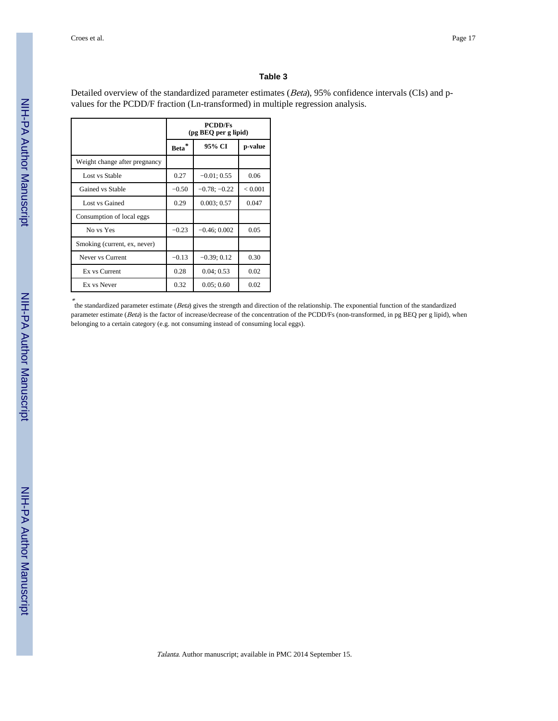Detailed overview of the standardized parameter estimates (Beta), 95% confidence intervals (CIs) and pvalues for the PCDD/F fraction (Ln-transformed) in multiple regression analysis.

|                               |             | <b>PCDD/Fs</b><br>(pg BEQ per g lipid) |         |
|-------------------------------|-------------|----------------------------------------|---------|
|                               | <b>Beta</b> | 95% CI                                 | p-value |
| Weight change after pregnancy |             |                                        |         |
| Lost vs Stable                | 0.27        | $-0.01; 0.55$                          | 0.06    |
| Gained vs Stable              | $-0.50$     | $-0.78; -0.22$                         | < 0.001 |
| Lost vs Gained                | 0.29        | 0.003; 0.57                            | 0.047   |
| Consumption of local eggs     |             |                                        |         |
| No vs Yes                     | $-0.23$     | $-0.46; 0.002$                         | 0.05    |
| Smoking (current, ex, never)  |             |                                        |         |
| Never vs Current              | $-0.13$     | $-0.39; 0.12$                          | 0.30    |
| Ex vs Current                 | 0.28        | 0.04; 0.53                             | 0.02    |
| Ex vs Never                   | 0.32        | 0.05; 0.60                             | 0.02    |

\*<br>the standardized parameter estimate (*Beta*) gives the strength and direction of the relationship. The exponential function of the standardized parameter estimate (Beta) is the factor of increase/decrease of the concentration of the PCDD/Fs (non-transformed, in pg BEQ per g lipid), when belonging to a certain category (e.g. not consuming instead of consuming local eggs).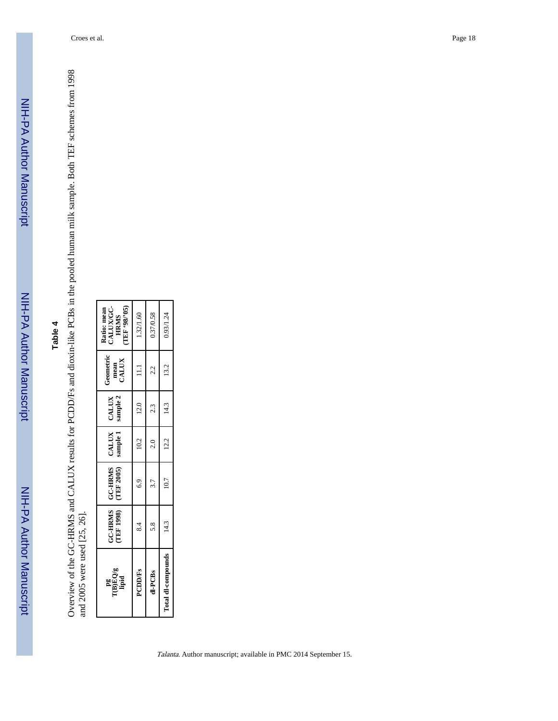Overview of the GC-HRMS and CALUX results for PCDD/Fs and dioxin-like PCBs in the pooled human milk sample. Both TEF schemes from 1998<br>and 2005 were used [25, 26]. Overview of the GC-HRMS and CALUX results for PCDD/Fs and dioxin-like PCBs in the pooled human milk sample. Both TEF schemes from 1998 and 2005 were used [25, 26].

| $\begin{array}{c} \rm{p}g\\ \rm{T(B)EQ/g}\\ \rm{lipid} \end{array}$ | <b>TEF 1998)</b> | GC-HRMS   GC-HRMS<br>(TEF 2005) | CALUX<br>sample 1 | CALUX<br>sample 2 | Geometric<br>mean<br>CALUX         | Ratio: mean<br>CALUX/GC-<br>HRMS<br>TEF '98/'05) |
|---------------------------------------------------------------------|------------------|---------------------------------|-------------------|-------------------|------------------------------------|--------------------------------------------------|
| <b>PCDD/Fs</b>                                                      | $\frac{4}{3}$    | 6.9                             | 10.2              | 12.0              | $\begin{array}{c} 111 \end{array}$ | 1.32/1.60                                        |
| dl-PCBs                                                             | 5.8              | 3.7                             | $\frac{1}{2}$     | 2.3               | 2.2                                | 0.37/0.58                                        |
| Total dl-compounds                                                  | 14.3             | 10.7                            | 12.2              | 14.3              | 13.2                               | 0.93/1.24                                        |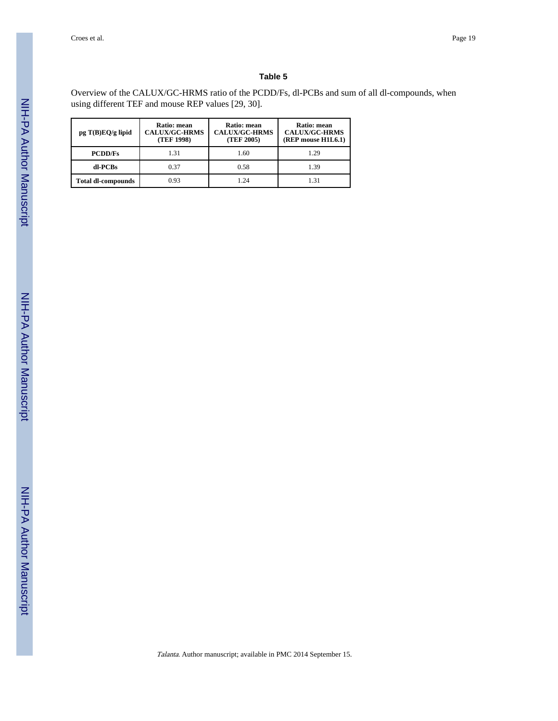Overview of the CALUX/GC-HRMS ratio of the PCDD/Fs, dl-PCBs and sum of all dl-compounds, when using different TEF and mouse REP values [29, 30].

| $pg T(B)EQ/g$ lipid       | <b>Ratio: mean</b><br><b>CALUX/GC-HRMS</b><br>(TEF 1998) | Ratio: mean<br><b>CALUX/GC-HRMS</b><br>(TEF 2005) | <b>Ratio: mean</b><br><b>CALUX/GC-HRMS</b><br>$(REF$ mouse $H1L6.1)$ |
|---------------------------|----------------------------------------------------------|---------------------------------------------------|----------------------------------------------------------------------|
| <b>PCDD/Fs</b>            | 1.31                                                     | 1.60                                              | 1.29                                                                 |
| dl-PCBs                   | 0.37                                                     | 0.58                                              | 1.39                                                                 |
| <b>Total dl-compounds</b> | 0.93                                                     | 1 24                                              | 1.31                                                                 |